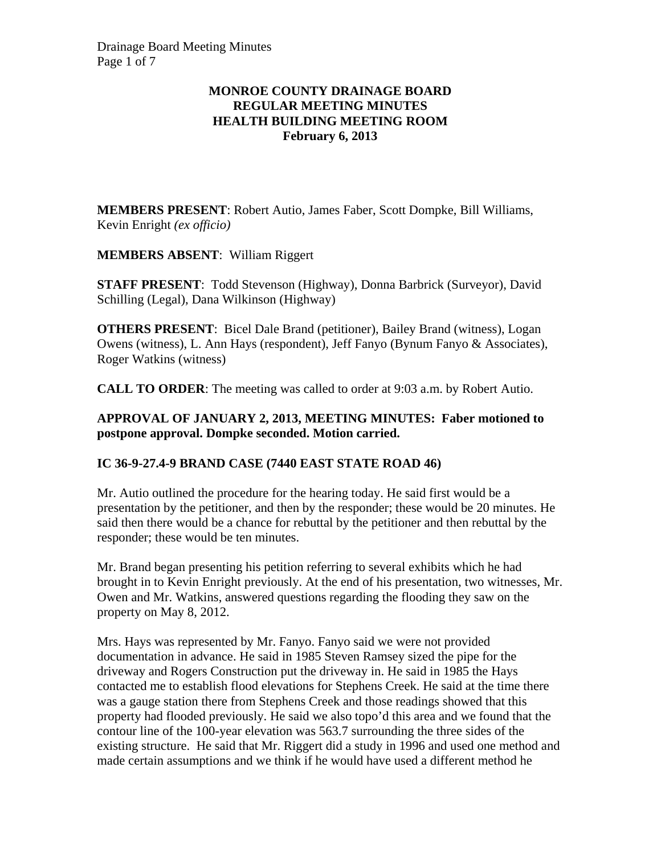## **MONROE COUNTY DRAINAGE BOARD REGULAR MEETING MINUTES HEALTH BUILDING MEETING ROOM February 6, 2013**

**MEMBERS PRESENT**: Robert Autio, James Faber, Scott Dompke, Bill Williams, Kevin Enright *(ex officio)*

**MEMBERS ABSENT**: William Riggert

**STAFF PRESENT**: Todd Stevenson (Highway), Donna Barbrick (Surveyor), David Schilling (Legal), Dana Wilkinson (Highway)

**OTHERS PRESENT**: Bicel Dale Brand (petitioner), Bailey Brand (witness), Logan Owens (witness), L. Ann Hays (respondent), Jeff Fanyo (Bynum Fanyo & Associates), Roger Watkins (witness)

**CALL TO ORDER**: The meeting was called to order at 9:03 a.m. by Robert Autio.

### **APPROVAL OF JANUARY 2, 2013, MEETING MINUTES: Faber motioned to postpone approval. Dompke seconded. Motion carried.**

## **IC 36-9-27.4-9 BRAND CASE (7440 EAST STATE ROAD 46)**

Mr. Autio outlined the procedure for the hearing today. He said first would be a presentation by the petitioner, and then by the responder; these would be 20 minutes. He said then there would be a chance for rebuttal by the petitioner and then rebuttal by the responder; these would be ten minutes.

Mr. Brand began presenting his petition referring to several exhibits which he had brought in to Kevin Enright previously. At the end of his presentation, two witnesses, Mr. Owen and Mr. Watkins, answered questions regarding the flooding they saw on the property on May 8, 2012.

Mrs. Hays was represented by Mr. Fanyo. Fanyo said we were not provided documentation in advance. He said in 1985 Steven Ramsey sized the pipe for the driveway and Rogers Construction put the driveway in. He said in 1985 the Hays contacted me to establish flood elevations for Stephens Creek. He said at the time there was a gauge station there from Stephens Creek and those readings showed that this property had flooded previously. He said we also topo'd this area and we found that the contour line of the 100-year elevation was 563.7 surrounding the three sides of the existing structure. He said that Mr. Riggert did a study in 1996 and used one method and made certain assumptions and we think if he would have used a different method he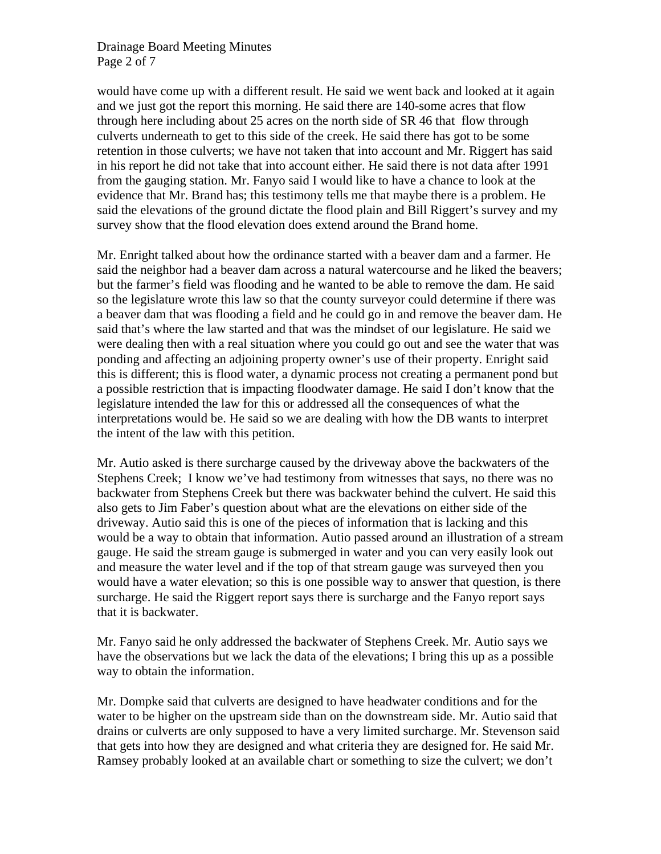### Drainage Board Meeting Minutes Page 2 of 7

would have come up with a different result. He said we went back and looked at it again and we just got the report this morning. He said there are 140-some acres that flow through here including about 25 acres on the north side of SR 46 that flow through culverts underneath to get to this side of the creek. He said there has got to be some retention in those culverts; we have not taken that into account and Mr. Riggert has said in his report he did not take that into account either. He said there is not data after 1991 from the gauging station. Mr. Fanyo said I would like to have a chance to look at the evidence that Mr. Brand has; this testimony tells me that maybe there is a problem. He said the elevations of the ground dictate the flood plain and Bill Riggert's survey and my survey show that the flood elevation does extend around the Brand home.

Mr. Enright talked about how the ordinance started with a beaver dam and a farmer. He said the neighbor had a beaver dam across a natural watercourse and he liked the beavers; but the farmer's field was flooding and he wanted to be able to remove the dam. He said so the legislature wrote this law so that the county surveyor could determine if there was a beaver dam that was flooding a field and he could go in and remove the beaver dam. He said that's where the law started and that was the mindset of our legislature. He said we were dealing then with a real situation where you could go out and see the water that was ponding and affecting an adjoining property owner's use of their property. Enright said this is different; this is flood water, a dynamic process not creating a permanent pond but a possible restriction that is impacting floodwater damage. He said I don't know that the legislature intended the law for this or addressed all the consequences of what the interpretations would be. He said so we are dealing with how the DB wants to interpret the intent of the law with this petition.

Mr. Autio asked is there surcharge caused by the driveway above the backwaters of the Stephens Creek; I know we've had testimony from witnesses that says, no there was no backwater from Stephens Creek but there was backwater behind the culvert. He said this also gets to Jim Faber's question about what are the elevations on either side of the driveway. Autio said this is one of the pieces of information that is lacking and this would be a way to obtain that information. Autio passed around an illustration of a stream gauge. He said the stream gauge is submerged in water and you can very easily look out and measure the water level and if the top of that stream gauge was surveyed then you would have a water elevation; so this is one possible way to answer that question, is there surcharge. He said the Riggert report says there is surcharge and the Fanyo report says that it is backwater.

Mr. Fanyo said he only addressed the backwater of Stephens Creek. Mr. Autio says we have the observations but we lack the data of the elevations; I bring this up as a possible way to obtain the information.

Mr. Dompke said that culverts are designed to have headwater conditions and for the water to be higher on the upstream side than on the downstream side. Mr. Autio said that drains or culverts are only supposed to have a very limited surcharge. Mr. Stevenson said that gets into how they are designed and what criteria they are designed for. He said Mr. Ramsey probably looked at an available chart or something to size the culvert; we don't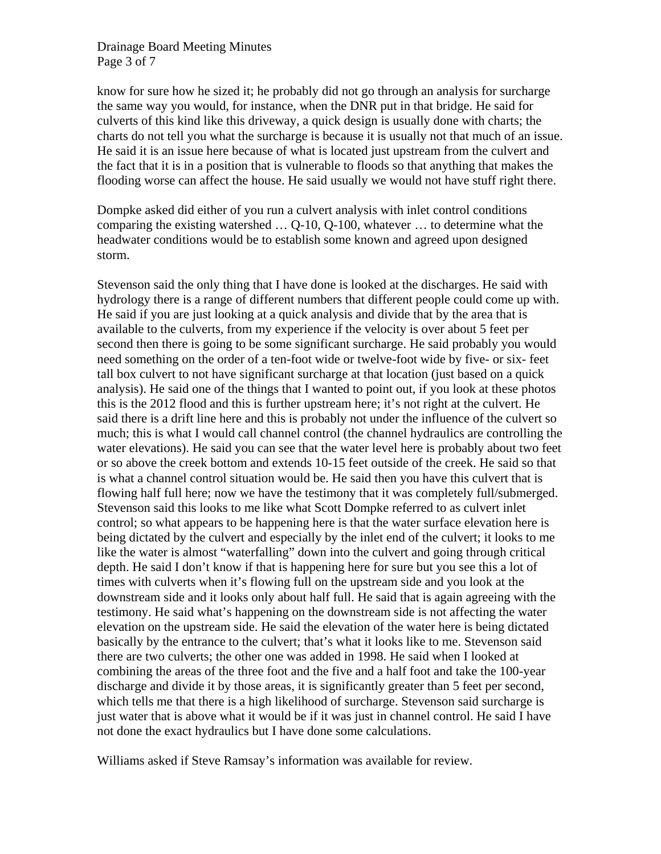#### Drainage Board Meeting Minutes Page 3 of 7

know for sure how he sized it; he probably did not go through an analysis for surcharge the same way you would, for instance, when the DNR put in that bridge. He said for culverts of this kind like this driveway, a quick design is usually done with charts; the charts do not tell you what the surcharge is because it is usually not that much of an issue. He said it is an issue here because of what is located just upstream from the culvert and the fact that it is in a position that is vulnerable to floods so that anything that makes the flooding worse can affect the house. He said usually we would not have stuff right there.

Dompke asked did either of you run a culvert analysis with inlet control conditions comparing the existing watershed … Q-10, Q-100, whatever … to determine what the headwater conditions would be to establish some known and agreed upon designed storm.

Stevenson said the only thing that I have done is looked at the discharges. He said with hydrology there is a range of different numbers that different people could come up with. He said if you are just looking at a quick analysis and divide that by the area that is available to the culverts, from my experience if the velocity is over about 5 feet per second then there is going to be some significant surcharge. He said probably you would need something on the order of a ten-foot wide or twelve-foot wide by five- or six- feet tall box culvert to not have significant surcharge at that location (just based on a quick analysis). He said one of the things that I wanted to point out, if you look at these photos this is the 2012 flood and this is further upstream here; it's not right at the culvert. He said there is a drift line here and this is probably not under the influence of the culvert so much; this is what I would call channel control (the channel hydraulics are controlling the water elevations). He said you can see that the water level here is probably about two feet or so above the creek bottom and extends 10-15 feet outside of the creek. He said so that is what a channel control situation would be. He said then you have this culvert that is flowing half full here; now we have the testimony that it was completely full/submerged. Stevenson said this looks to me like what Scott Dompke referred to as culvert inlet control; so what appears to be happening here is that the water surface elevation here is being dictated by the culvert and especially by the inlet end of the culvert; it looks to me like the water is almost "waterfalling" down into the culvert and going through critical depth. He said I don't know if that is happening here for sure but you see this a lot of times with culverts when it's flowing full on the upstream side and you look at the downstream side and it looks only about half full. He said that is again agreeing with the testimony. He said what's happening on the downstream side is not affecting the water elevation on the upstream side. He said the elevation of the water here is being dictated basically by the entrance to the culvert; that's what it looks like to me. Stevenson said there are two culverts; the other one was added in 1998. He said when I looked at combining the areas of the three foot and the five and a half foot and take the 100-year discharge and divide it by those areas, it is significantly greater than 5 feet per second, which tells me that there is a high likelihood of surcharge. Stevenson said surcharge is just water that is above what it would be if it was just in channel control. He said I have not done the exact hydraulics but I have done some calculations.

Williams asked if Steve Ramsay's information was available for review.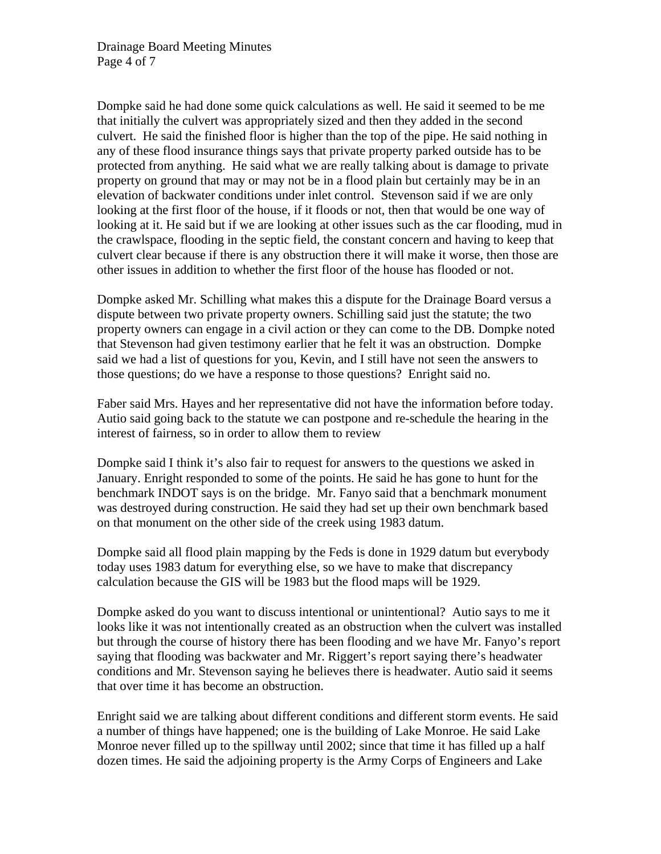Dompke said he had done some quick calculations as well. He said it seemed to be me that initially the culvert was appropriately sized and then they added in the second culvert. He said the finished floor is higher than the top of the pipe. He said nothing in any of these flood insurance things says that private property parked outside has to be protected from anything. He said what we are really talking about is damage to private property on ground that may or may not be in a flood plain but certainly may be in an elevation of backwater conditions under inlet control. Stevenson said if we are only looking at the first floor of the house, if it floods or not, then that would be one way of looking at it. He said but if we are looking at other issues such as the car flooding, mud in the crawlspace, flooding in the septic field, the constant concern and having to keep that culvert clear because if there is any obstruction there it will make it worse, then those are other issues in addition to whether the first floor of the house has flooded or not.

Dompke asked Mr. Schilling what makes this a dispute for the Drainage Board versus a dispute between two private property owners. Schilling said just the statute; the two property owners can engage in a civil action or they can come to the DB. Dompke noted that Stevenson had given testimony earlier that he felt it was an obstruction. Dompke said we had a list of questions for you, Kevin, and I still have not seen the answers to those questions; do we have a response to those questions? Enright said no.

Faber said Mrs. Hayes and her representative did not have the information before today. Autio said going back to the statute we can postpone and re-schedule the hearing in the interest of fairness, so in order to allow them to review

Dompke said I think it's also fair to request for answers to the questions we asked in January. Enright responded to some of the points. He said he has gone to hunt for the benchmark INDOT says is on the bridge. Mr. Fanyo said that a benchmark monument was destroyed during construction. He said they had set up their own benchmark based on that monument on the other side of the creek using 1983 datum.

Dompke said all flood plain mapping by the Feds is done in 1929 datum but everybody today uses 1983 datum for everything else, so we have to make that discrepancy calculation because the GIS will be 1983 but the flood maps will be 1929.

Dompke asked do you want to discuss intentional or unintentional? Autio says to me it looks like it was not intentionally created as an obstruction when the culvert was installed but through the course of history there has been flooding and we have Mr. Fanyo's report saying that flooding was backwater and Mr. Riggert's report saying there's headwater conditions and Mr. Stevenson saying he believes there is headwater. Autio said it seems that over time it has become an obstruction.

Enright said we are talking about different conditions and different storm events. He said a number of things have happened; one is the building of Lake Monroe. He said Lake Monroe never filled up to the spillway until 2002; since that time it has filled up a half dozen times. He said the adjoining property is the Army Corps of Engineers and Lake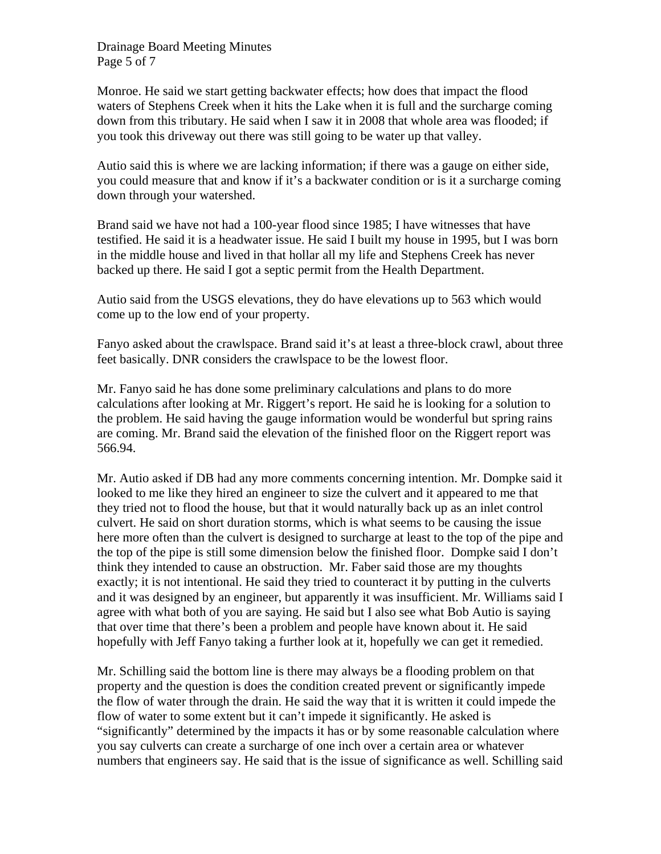Drainage Board Meeting Minutes Page 5 of 7

Monroe. He said we start getting backwater effects; how does that impact the flood waters of Stephens Creek when it hits the Lake when it is full and the surcharge coming down from this tributary. He said when I saw it in 2008 that whole area was flooded; if you took this driveway out there was still going to be water up that valley.

Autio said this is where we are lacking information; if there was a gauge on either side, you could measure that and know if it's a backwater condition or is it a surcharge coming down through your watershed.

Brand said we have not had a 100-year flood since 1985; I have witnesses that have testified. He said it is a headwater issue. He said I built my house in 1995, but I was born in the middle house and lived in that hollar all my life and Stephens Creek has never backed up there. He said I got a septic permit from the Health Department.

Autio said from the USGS elevations, they do have elevations up to 563 which would come up to the low end of your property.

Fanyo asked about the crawlspace. Brand said it's at least a three-block crawl, about three feet basically. DNR considers the crawlspace to be the lowest floor.

Mr. Fanyo said he has done some preliminary calculations and plans to do more calculations after looking at Mr. Riggert's report. He said he is looking for a solution to the problem. He said having the gauge information would be wonderful but spring rains are coming. Mr. Brand said the elevation of the finished floor on the Riggert report was 566.94.

Mr. Autio asked if DB had any more comments concerning intention. Mr. Dompke said it looked to me like they hired an engineer to size the culvert and it appeared to me that they tried not to flood the house, but that it would naturally back up as an inlet control culvert. He said on short duration storms, which is what seems to be causing the issue here more often than the culvert is designed to surcharge at least to the top of the pipe and the top of the pipe is still some dimension below the finished floor. Dompke said I don't think they intended to cause an obstruction. Mr. Faber said those are my thoughts exactly; it is not intentional. He said they tried to counteract it by putting in the culverts and it was designed by an engineer, but apparently it was insufficient. Mr. Williams said I agree with what both of you are saying. He said but I also see what Bob Autio is saying that over time that there's been a problem and people have known about it. He said hopefully with Jeff Fanyo taking a further look at it, hopefully we can get it remedied.

Mr. Schilling said the bottom line is there may always be a flooding problem on that property and the question is does the condition created prevent or significantly impede the flow of water through the drain. He said the way that it is written it could impede the flow of water to some extent but it can't impede it significantly. He asked is "significantly" determined by the impacts it has or by some reasonable calculation where you say culverts can create a surcharge of one inch over a certain area or whatever numbers that engineers say. He said that is the issue of significance as well. Schilling said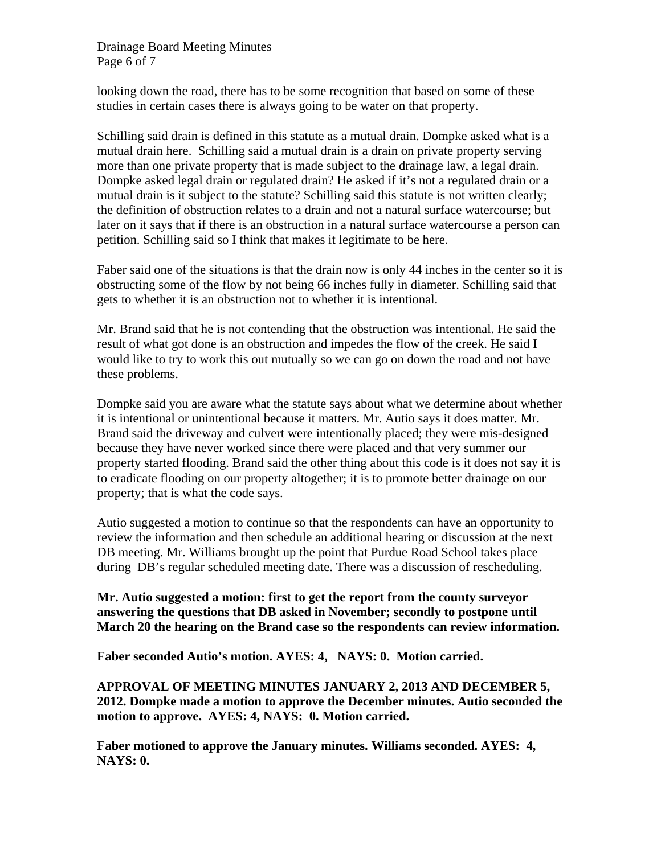Drainage Board Meeting Minutes Page 6 of 7

looking down the road, there has to be some recognition that based on some of these studies in certain cases there is always going to be water on that property.

Schilling said drain is defined in this statute as a mutual drain. Dompke asked what is a mutual drain here. Schilling said a mutual drain is a drain on private property serving more than one private property that is made subject to the drainage law, a legal drain. Dompke asked legal drain or regulated drain? He asked if it's not a regulated drain or a mutual drain is it subject to the statute? Schilling said this statute is not written clearly; the definition of obstruction relates to a drain and not a natural surface watercourse; but later on it says that if there is an obstruction in a natural surface watercourse a person can petition. Schilling said so I think that makes it legitimate to be here.

Faber said one of the situations is that the drain now is only 44 inches in the center so it is obstructing some of the flow by not being 66 inches fully in diameter. Schilling said that gets to whether it is an obstruction not to whether it is intentional.

Mr. Brand said that he is not contending that the obstruction was intentional. He said the result of what got done is an obstruction and impedes the flow of the creek. He said I would like to try to work this out mutually so we can go on down the road and not have these problems.

Dompke said you are aware what the statute says about what we determine about whether it is intentional or unintentional because it matters. Mr. Autio says it does matter. Mr. Brand said the driveway and culvert were intentionally placed; they were mis-designed because they have never worked since there were placed and that very summer our property started flooding. Brand said the other thing about this code is it does not say it is to eradicate flooding on our property altogether; it is to promote better drainage on our property; that is what the code says.

Autio suggested a motion to continue so that the respondents can have an opportunity to review the information and then schedule an additional hearing or discussion at the next DB meeting. Mr. Williams brought up the point that Purdue Road School takes place during DB's regular scheduled meeting date. There was a discussion of rescheduling.

**Mr. Autio suggested a motion: first to get the report from the county surveyor answering the questions that DB asked in November; secondly to postpone until March 20 the hearing on the Brand case so the respondents can review information.** 

**Faber seconded Autio's motion. AYES: 4, NAYS: 0. Motion carried.** 

**APPROVAL OF MEETING MINUTES JANUARY 2, 2013 AND DECEMBER 5, 2012. Dompke made a motion to approve the December minutes. Autio seconded the motion to approve. AYES: 4, NAYS: 0. Motion carried.** 

**Faber motioned to approve the January minutes. Williams seconded. AYES: 4, NAYS: 0.**